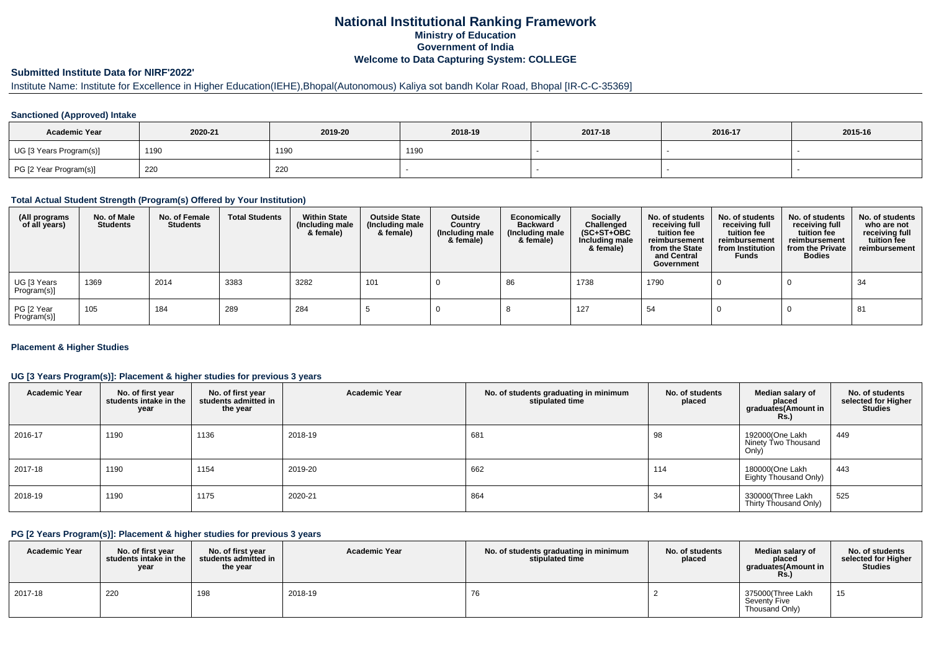# **National Institutional Ranking FrameworkMinistry of Education Government of IndiaWelcome to Data Capturing System: COLLEGE**

## **Submitted Institute Data for NIRF'2022'**

# Institute Name: Institute for Excellence in Higher Education(IEHE),Bhopal(Autonomous) Kaliya sot bandh Kolar Road, Bhopal [IR-C-C-35369]

#### **Sanctioned (Approved) Intake**

| <b>Academic Year</b>    | 2020-21 | 2019-20 | 2018-19 | 2017-18 | 2016-17 | 2015-16 |
|-------------------------|---------|---------|---------|---------|---------|---------|
| UG [3 Years Program(s)] | 1190    | 1190    | 1190    |         |         |         |
| PG [2 Year Program(s)]  | 220     | 220     |         |         |         |         |

#### **Total Actual Student Strength (Program(s) Offered by Your Institution)**

| (All programs<br>of all years) | No. of Male<br><b>Students</b> | No. of Female<br>Students | <b>Total Students</b> | <b>Within State</b><br>(Including male<br>& female) | <b>Outside State</b><br>(Including male<br>& female) | Outside<br>Country<br>(Including male<br>& female) | Economically<br><b>Backward</b><br>(Including male<br>& female) | Socially<br>Challenged<br>$(SC+ST+OBC)$<br>Including male<br>& female) | No. of students<br>receiving full<br>tuition fee<br>reimbursement<br>from the State<br>and Central<br>Government | No. of students<br>receiving full<br>tuition fee<br>reimbursement<br>from Institution<br><b>Funds</b> | No. of students<br>receiving full<br>tuition fee<br>reimbursement<br>from the Private<br><b>Bodies</b> | No. of students<br>who are not<br>receiving full<br>tuition fee<br>reimbursement |
|--------------------------------|--------------------------------|---------------------------|-----------------------|-----------------------------------------------------|------------------------------------------------------|----------------------------------------------------|-----------------------------------------------------------------|------------------------------------------------------------------------|------------------------------------------------------------------------------------------------------------------|-------------------------------------------------------------------------------------------------------|--------------------------------------------------------------------------------------------------------|----------------------------------------------------------------------------------|
| UG [3 Years<br>Program(s)]     | 1369                           | 2014                      | 3383                  | 3282                                                | 101                                                  |                                                    | 86                                                              | 1738                                                                   | 1790                                                                                                             |                                                                                                       |                                                                                                        | 34                                                                               |
| PG [2 Year<br>Program(s)]      | 105                            | 184                       | 289                   | 284                                                 |                                                      |                                                    |                                                                 | 127                                                                    | 54                                                                                                               |                                                                                                       |                                                                                                        | 81                                                                               |

#### **Placement & Higher Studies**

#### **UG [3 Years Program(s)]: Placement & higher studies for previous 3 years**

| <b>Academic Year</b> | No. of first year<br>students intake in the<br>year | No. of first year<br>students admitted in<br>the year | <b>Academic Year</b> | No. of students graduating in minimum<br>stipulated time | No. of students<br>placed | Median salary of<br>placed<br>graduates(Amount in<br>Rs. | No. of students<br>selected for Higher<br><b>Studies</b> |
|----------------------|-----------------------------------------------------|-------------------------------------------------------|----------------------|----------------------------------------------------------|---------------------------|----------------------------------------------------------|----------------------------------------------------------|
| 2016-17              | 1190                                                | 1136                                                  | 2018-19              | 681                                                      | 98                        | 192000(One Lakh<br>Ninety Two Thousand<br>Only)          | 449                                                      |
| 2017-18              | 1190                                                | 1154                                                  | 2019-20              | 662                                                      | 114                       | 180000(One Lakh<br>Eighty Thousand Only)                 | 443                                                      |
| 2018-19              | 1190                                                | 1175                                                  | 2020-21              | 864                                                      | 34                        | 330000(Three Lakh<br>Thirty Thousand Only)               | 525                                                      |

#### **PG [2 Years Program(s)]: Placement & higher studies for previous 3 years**

| <b>Academic Year</b> | No. of first vear<br>students intake in the<br>year | No. of first vear<br>students admitted in<br>the year | <b>Academic Year</b> | No. of students graduating in minimum<br>stipulated time | No. of students<br>placed | Median salary of<br>placed<br>graduates(Amount in<br>Rs. | No. of students<br>selected for Higher<br><b>Studies</b> |
|----------------------|-----------------------------------------------------|-------------------------------------------------------|----------------------|----------------------------------------------------------|---------------------------|----------------------------------------------------------|----------------------------------------------------------|
| 2017-18              | 220                                                 | 198                                                   | 2018-19              | 76                                                       |                           | 375000(Three Lakh<br>Seventy Five<br>Thousand Only)      | 15                                                       |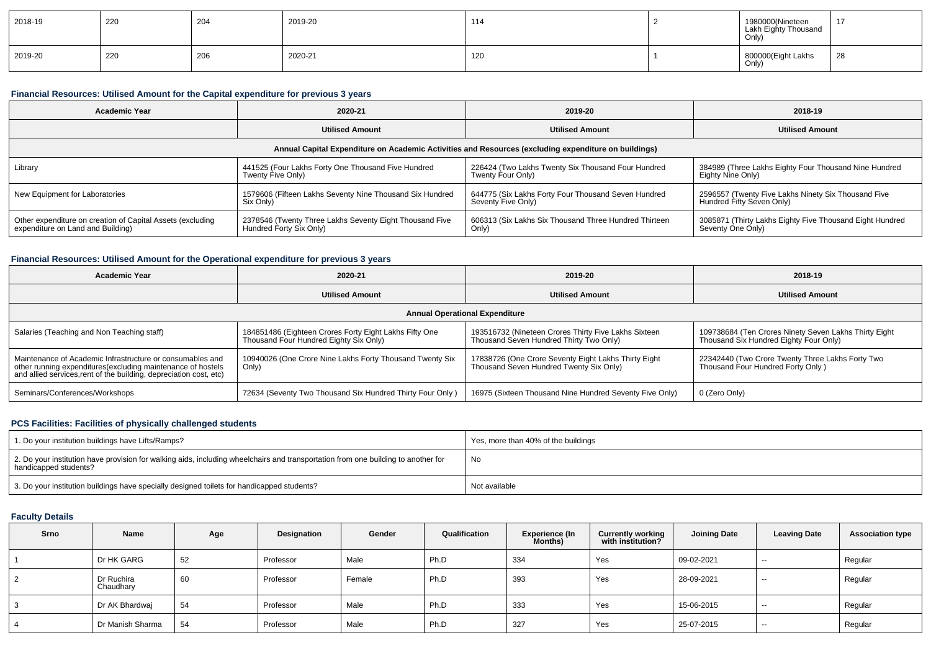| 2018-19 | 220 | 204 | 2019-20 | 114 | 1980000(Nineteen<br>Lakh Eighty Thousand<br>Only) | -17 |
|---------|-----|-----|---------|-----|---------------------------------------------------|-----|
| 2019-20 | 220 | 206 | 2020-21 | 120 | 800000(Eight Lakhs<br>Only)                       | 28  |

#### **Financial Resources: Utilised Amount for the Capital expenditure for previous 3 years**

| <b>Academic Year</b>                                                                                 | 2020-21                                                                            | 2019-20                                                                   | 2018-19                                                                          |  |  |  |  |  |  |
|------------------------------------------------------------------------------------------------------|------------------------------------------------------------------------------------|---------------------------------------------------------------------------|----------------------------------------------------------------------------------|--|--|--|--|--|--|
|                                                                                                      | <b>Utilised Amount</b>                                                             | <b>Utilised Amount</b>                                                    | <b>Utilised Amount</b>                                                           |  |  |  |  |  |  |
| Annual Capital Expenditure on Academic Activities and Resources (excluding expenditure on buildings) |                                                                                    |                                                                           |                                                                                  |  |  |  |  |  |  |
| Library                                                                                              | 441525 (Four Lakhs Forty One Thousand Five Hundred<br>Twenty Five Only)            | 226424 (Two Lakhs Twenty Six Thousand Four Hundred<br>Twenty Four Only)   | 384989 (Three Lakhs Eighty Four Thousand Nine Hundred<br>Eighty Nine Only)       |  |  |  |  |  |  |
| New Equipment for Laboratories                                                                       | 1579606 (Fifteen Lakhs Seventy Nine Thousand Six Hundred<br>Six Only)              | 644775 (Six Lakhs Forty Four Thousand Seven Hundred<br>Seventy Five Only) | 2596557 (Twenty Five Lakhs Ninety Six Thousand Five<br>Hundred Fifty Seven Only) |  |  |  |  |  |  |
| Other expenditure on creation of Capital Assets (excluding<br>expenditure on Land and Building)      | 2378546 (Twenty Three Lakhs Seventy Eight Thousand Five<br>Hundred Forty Six Only) | 606313 (Six Lakhs Six Thousand Three Hundred Thirteen<br>Only)            | 3085871 (Thirty Lakhs Eighty Five Thousand Eight Hundred<br>Seventy One Only)    |  |  |  |  |  |  |

#### **Financial Resources: Utilised Amount for the Operational expenditure for previous 3 years**

| <b>Academic Year</b><br>2020-21                                                                                                                                                                 |                                                                                                  | 2019-20                                                                                         | 2018-19                                                                                         |  |  |  |  |  |  |
|-------------------------------------------------------------------------------------------------------------------------------------------------------------------------------------------------|--------------------------------------------------------------------------------------------------|-------------------------------------------------------------------------------------------------|-------------------------------------------------------------------------------------------------|--|--|--|--|--|--|
|                                                                                                                                                                                                 | <b>Utilised Amount</b>                                                                           | <b>Utilised Amount</b>                                                                          | <b>Utilised Amount</b>                                                                          |  |  |  |  |  |  |
| <b>Annual Operational Expenditure</b>                                                                                                                                                           |                                                                                                  |                                                                                                 |                                                                                                 |  |  |  |  |  |  |
| Salaries (Teaching and Non Teaching staff)                                                                                                                                                      | 184851486 (Eighteen Crores Forty Eight Lakhs Fifty One<br>Thousand Four Hundred Eighty Six Only) | 193516732 (Nineteen Crores Thirty Five Lakhs Sixteen<br>Thousand Seven Hundred Thirty Two Only) | 109738684 (Ten Crores Ninety Seven Lakhs Thirty Eight<br>Thousand Six Hundred Eighty Four Only) |  |  |  |  |  |  |
| Maintenance of Academic Infrastructure or consumables and<br>other running expenditures (excluding maintenance of hostels<br>and allied services, rent of the building, depreciation cost, etc) | 10940026 (One Crore Nine Lakhs Forty Thousand Twenty Six<br>Only)                                | 17838726 (One Crore Seventy Eight Lakhs Thirty Eight<br>Thousand Seven Hundred Twenty Six Only) | 22342440 (Two Crore Twenty Three Lakhs Forty Two<br>Thousand Four Hundred Forty Only)           |  |  |  |  |  |  |
| Seminars/Conferences/Workshops                                                                                                                                                                  | 72634 (Seventy Two Thousand Six Hundred Thirty Four Only)                                        | 16975 (Sixteen Thousand Nine Hundred Seventy Five Only)                                         | 0 (Zero Only)                                                                                   |  |  |  |  |  |  |

## **PCS Facilities: Facilities of physically challenged students**

| 1. Do your institution buildings have Lifts/Ramps?                                                                                                         | Yes, more than 40% of the buildings |
|------------------------------------------------------------------------------------------------------------------------------------------------------------|-------------------------------------|
| 2. Do your institution have provision for walking aids, including wheelchairs and transportation from one building to another for<br>handicapped students? | No                                  |
| 3. Do your institution buildings have specially designed toilets for handicapped students?                                                                 | Not available                       |

### **Faculty Details**

| <b>Srno</b> | Name                    | Age | Designation | Gender | Qualification | <b>Experience (In</b><br>Months) | <b>Currently working<br/>with institution?</b> | <b>Joining Date</b> | <b>Leaving Date</b> | <b>Association type</b> |
|-------------|-------------------------|-----|-------------|--------|---------------|----------------------------------|------------------------------------------------|---------------------|---------------------|-------------------------|
|             | Dr HK GARG              | 52  | Professor   | Male   | Ph.D          | 334                              | Yes                                            | 09-02-2021          | $\sim$              | Regular                 |
|             | Dr Ruchira<br>Chaudhary | 60  | Professor   | Female | Ph.D          | 393                              | Yes                                            | 28-09-2021          | $- -$               | Regular                 |
|             | Dr AK Bhardwaj          | 54  | Professor   | Male   | Ph.D          | 333                              | Yes                                            | 15-06-2015          | $- -$               | Regular                 |
|             | Dr Manish Sharma        | 54  | Professor   | Male   | Ph.D          | 327                              | Yes                                            | 25-07-2015          | $- -$               | Regular                 |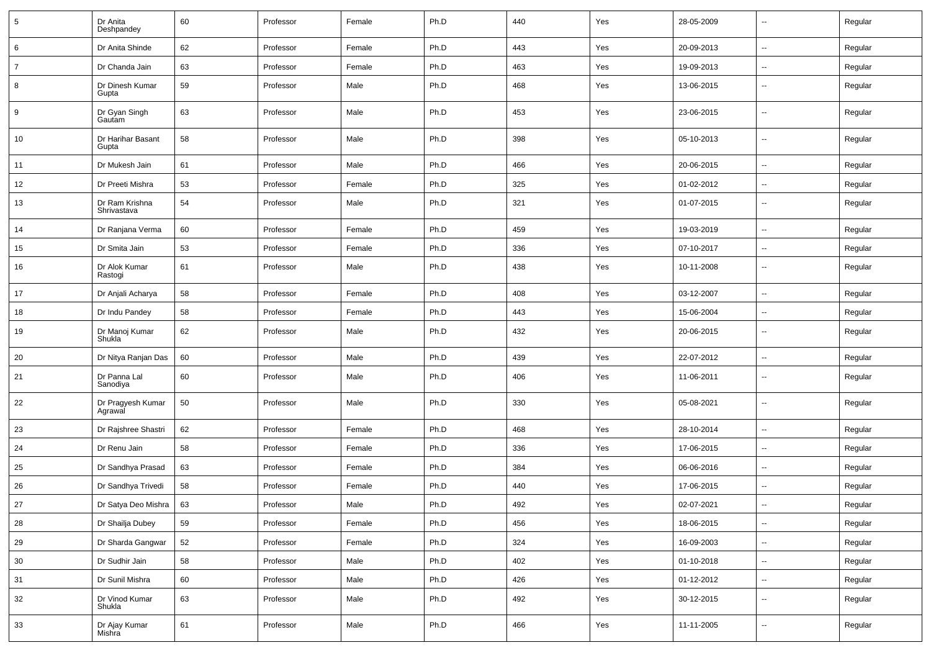| $5\phantom{.0}$ | Dr Anita<br>Deshpandey        | 60 | Professor | Female | Ph.D | 440 | Yes | 28-05-2009 | $\overline{\phantom{a}}$ | Regular |
|-----------------|-------------------------------|----|-----------|--------|------|-----|-----|------------|--------------------------|---------|
| 6               | Dr Anita Shinde               | 62 | Professor | Female | Ph.D | 443 | Yes | 20-09-2013 | $\sim$                   | Regular |
| $\overline{7}$  | Dr Chanda Jain                | 63 | Professor | Female | Ph.D | 463 | Yes | 19-09-2013 | ⊶.                       | Regular |
| 8               | Dr Dinesh Kumar<br>Gupta      | 59 | Professor | Male   | Ph.D | 468 | Yes | 13-06-2015 | ⊷.                       | Regular |
| 9               | Dr Gyan Singh<br>Gautam       | 63 | Professor | Male   | Ph.D | 453 | Yes | 23-06-2015 | $\overline{\phantom{a}}$ | Regular |
| 10              | Dr Harihar Basant<br>Gupta    | 58 | Professor | Male   | Ph.D | 398 | Yes | 05-10-2013 | ⊷.                       | Regular |
| 11              | Dr Mukesh Jain                | 61 | Professor | Male   | Ph.D | 466 | Yes | 20-06-2015 | ⊶.                       | Regular |
| 12              | Dr Preeti Mishra              | 53 | Professor | Female | Ph.D | 325 | Yes | 01-02-2012 | --                       | Regular |
| 13              | Dr Ram Krishna<br>Shrivastava | 54 | Professor | Male   | Ph.D | 321 | Yes | 01-07-2015 | -−                       | Regular |
| 14              | Dr Ranjana Verma              | 60 | Professor | Female | Ph.D | 459 | Yes | 19-03-2019 | -−                       | Regular |
| 15              | Dr Smita Jain                 | 53 | Professor | Female | Ph.D | 336 | Yes | 07-10-2017 | $\overline{\phantom{a}}$ | Regular |
| 16              | Dr Alok Kumar<br>Rastogi      | 61 | Professor | Male   | Ph.D | 438 | Yes | 10-11-2008 | $\overline{\phantom{a}}$ | Regular |
| 17              | Dr Anjali Acharya             | 58 | Professor | Female | Ph.D | 408 | Yes | 03-12-2007 | $\overline{\phantom{a}}$ | Regular |
| 18              | Dr Indu Pandey                | 58 | Professor | Female | Ph.D | 443 | Yes | 15-06-2004 | -−                       | Regular |
| 19              | Dr Manoj Kumar<br>Shukla      | 62 | Professor | Male   | Ph.D | 432 | Yes | 20-06-2015 | $\overline{\phantom{a}}$ | Regular |
| 20              | Dr Nitya Ranjan Das           | 60 | Professor | Male   | Ph.D | 439 | Yes | 22-07-2012 | $\overline{\phantom{a}}$ | Regular |
| 21              | Dr Panna Lal<br>Sanodiya      | 60 | Professor | Male   | Ph.D | 406 | Yes | 11-06-2011 | --                       | Regular |
| 22              | Dr Pragyesh Kumar<br>Agrawal  | 50 | Professor | Male   | Ph.D | 330 | Yes | 05-08-2021 | --                       | Regular |
| 23              | Dr Rajshree Shastri           | 62 | Professor | Female | Ph.D | 468 | Yes | 28-10-2014 | --                       | Regular |
| 24              | Dr Renu Jain                  | 58 | Professor | Female | Ph.D | 336 | Yes | 17-06-2015 | -−                       | Regular |
| 25              | Dr Sandhya Prasad             | 63 | Professor | Female | Ph.D | 384 | Yes | 06-06-2016 | Ξ.                       | Regular |
| 26              | Dr Sandhya Trivedi            | 58 | Professor | Female | Ph.D | 440 | Yes | 17-06-2015 | $\overline{\phantom{a}}$ | Regular |
| 27              | Dr Satya Deo Mishra           | 63 | Professor | Male   | Ph.D | 492 | Yes | 02-07-2021 | $\overline{\phantom{a}}$ | Regular |
| 28              | Dr Shailja Dubey              | 59 | Professor | Female | Ph.D | 456 | Yes | 18-06-2015 | Щ,                       | Regular |
| 29              | Dr Sharda Gangwar             | 52 | Professor | Female | Ph.D | 324 | Yes | 16-09-2003 | $\overline{\phantom{a}}$ | Regular |
| 30              | Dr Sudhir Jain                | 58 | Professor | Male   | Ph.D | 402 | Yes | 01-10-2018 | Ξ.                       | Regular |
| 31              | Dr Sunil Mishra               | 60 | Professor | Male   | Ph.D | 426 | Yes | 01-12-2012 | ш.                       | Regular |
| 32              | Dr Vinod Kumar<br>Shukla      | 63 | Professor | Male   | Ph.D | 492 | Yes | 30-12-2015 | $\overline{\phantom{a}}$ | Regular |
| 33              | Dr Ajay Kumar<br>Mishra       | 61 | Professor | Male   | Ph.D | 466 | Yes | 11-11-2005 | $\overline{\phantom{a}}$ | Regular |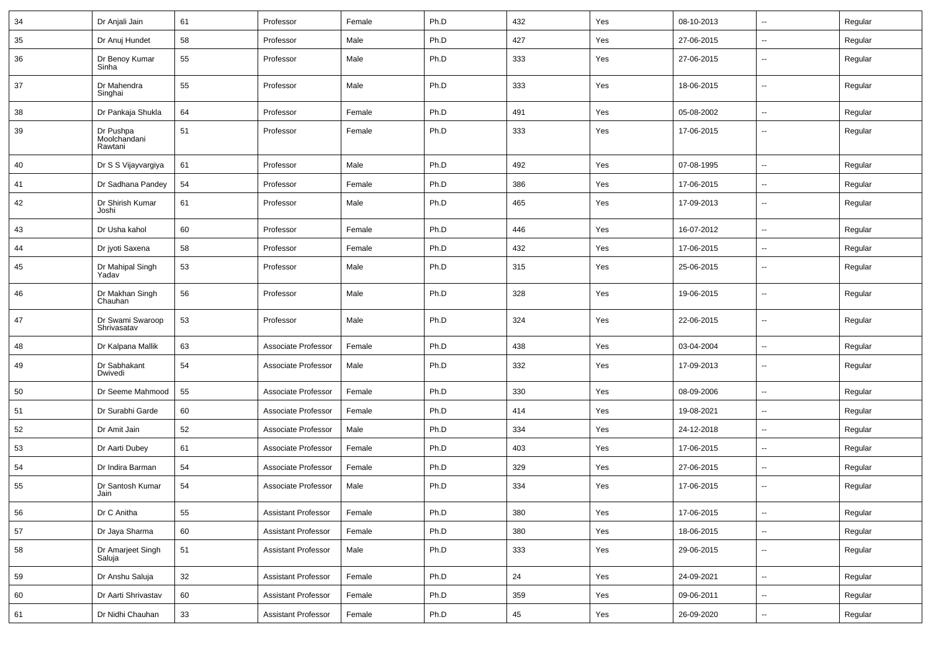| 34 | Dr Anjali Jain                       | 61 | Professor                  | Female | Ph.D | 432 | Yes | 08-10-2013 |                          | Regular |
|----|--------------------------------------|----|----------------------------|--------|------|-----|-----|------------|--------------------------|---------|
| 35 | Dr Anuj Hundet                       | 58 | Professor                  | Male   | Ph.D | 427 | Yes | 27-06-2015 | -−                       | Regular |
| 36 | Dr Benoy Kumar<br>Sinha              | 55 | Professor                  | Male   | Ph.D | 333 | Yes | 27-06-2015 | $\overline{\phantom{a}}$ | Regular |
| 37 | Dr Mahendra<br>Singhai               | 55 | Professor                  | Male   | Ph.D | 333 | Yes | 18-06-2015 | $\overline{\phantom{a}}$ | Regular |
| 38 | Dr Pankaja Shukla                    | 64 | Professor                  | Female | Ph.D | 491 | Yes | 05-08-2002 | $\overline{a}$           | Regular |
| 39 | Dr Pushpa<br>Moolchandani<br>Rawtani | 51 | Professor                  | Female | Ph.D | 333 | Yes | 17-06-2015 | --                       | Regular |
| 40 | Dr S S Vijayvargiya                  | 61 | Professor                  | Male   | Ph.D | 492 | Yes | 07-08-1995 | $\overline{a}$           | Regular |
| 41 | Dr Sadhana Pandey                    | 54 | Professor                  | Female | Ph.D | 386 | Yes | 17-06-2015 | --                       | Regular |
| 42 | Dr Shirish Kumar<br>Joshi            | 61 | Professor                  | Male   | Ph.D | 465 | Yes | 17-09-2013 | $\overline{\phantom{a}}$ | Regular |
| 43 | Dr Usha kahol                        | 60 | Professor                  | Female | Ph.D | 446 | Yes | 16-07-2012 | Ξ.                       | Regular |
| 44 | Dr jyoti Saxena                      | 58 | Professor                  | Female | Ph.D | 432 | Yes | 17-06-2015 | ⊷.                       | Regular |
| 45 | Dr Mahipal Singh<br>Yadav            | 53 | Professor                  | Male   | Ph.D | 315 | Yes | 25-06-2015 | --                       | Regular |
| 46 | Dr Makhan Singh<br>Chauhan           | 56 | Professor                  | Male   | Ph.D | 328 | Yes | 19-06-2015 | -−                       | Regular |
| 47 | Dr Swami Swaroop<br>Shrivasatav      | 53 | Professor                  | Male   | Ph.D | 324 | Yes | 22-06-2015 | --                       | Regular |
| 48 | Dr Kalpana Mallik                    | 63 | Associate Professor        | Female | Ph.D | 438 | Yes | 03-04-2004 | $\overline{\phantom{a}}$ | Regular |
| 49 | Dr Sabhakant<br>Dwivedi              | 54 | Associate Professor        | Male   | Ph.D | 332 | Yes | 17-09-2013 | $\overline{\phantom{a}}$ | Regular |
| 50 | Dr Seeme Mahmood                     | 55 | Associate Professor        | Female | Ph.D | 330 | Yes | 08-09-2006 | -−                       | Regular |
| 51 | Dr Surabhi Garde                     | 60 | Associate Professor        | Female | Ph.D | 414 | Yes | 19-08-2021 | $\overline{\phantom{a}}$ | Regular |
| 52 | Dr Amit Jain                         | 52 | Associate Professor        | Male   | Ph.D | 334 | Yes | 24-12-2018 | -−                       | Regular |
| 53 | Dr Aarti Dubey                       | 61 | Associate Professor        | Female | Ph.D | 403 | Yes | 17-06-2015 | ⊷.                       | Regular |
| 54 | Dr Indira Barman                     | 54 | Associate Professor        | Female | Ph.D | 329 | Yes | 27-06-2015 | н.                       | Regular |
| 55 | Dr Santosh Kumar<br>Jain             | 54 | Associate Professor        | Male   | Ph.D | 334 | Yes | 17-06-2015 | -−                       | Regular |
| 56 | Dr C Anitha                          | 55 | <b>Assistant Professor</b> | Female | Ph.D | 380 | Yes | 17-06-2015 | ₩,                       | Regular |
| 57 | Dr Jaya Sharma                       | 60 | <b>Assistant Professor</b> | Female | Ph.D | 380 | Yes | 18-06-2015 | $\overline{\phantom{a}}$ | Regular |
| 58 | Dr Amarjeet Singh<br>Saluja          | 51 | <b>Assistant Professor</b> | Male   | Ph.D | 333 | Yes | 29-06-2015 | $\sim$                   | Regular |
| 59 | Dr Anshu Saluja                      | 32 | <b>Assistant Professor</b> | Female | Ph.D | 24  | Yes | 24-09-2021 | н.                       | Regular |
| 60 | Dr Aarti Shrivastav                  | 60 | <b>Assistant Professor</b> | Female | Ph.D | 359 | Yes | 09-06-2011 | $\sim$                   | Regular |
| 61 | Dr Nidhi Chauhan                     | 33 | <b>Assistant Professor</b> | Female | Ph.D | 45  | Yes | 26-09-2020 | $\overline{\phantom{a}}$ | Regular |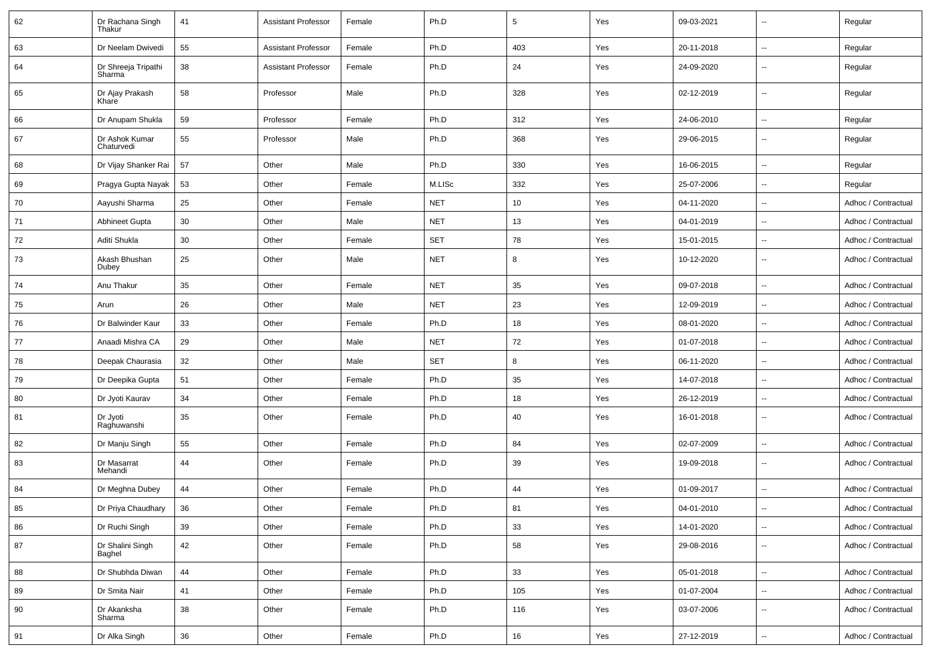| 62 | Dr Rachana Singh<br>Thakur    | 41     | <b>Assistant Professor</b> | Female | Ph.D       | $5\phantom{.0}$ | Yes | 09-03-2021 | $\overline{\phantom{a}}$ | Regular             |
|----|-------------------------------|--------|----------------------------|--------|------------|-----------------|-----|------------|--------------------------|---------------------|
| 63 | Dr Neelam Dwivedi             | 55     | <b>Assistant Professor</b> | Female | Ph.D       | 403             | Yes | 20-11-2018 | $\overline{\phantom{a}}$ | Regular             |
| 64 | Dr Shreeja Tripathi<br>Sharma | 38     | <b>Assistant Professor</b> | Female | Ph.D       | 24              | Yes | 24-09-2020 | $\overline{\phantom{a}}$ | Regular             |
| 65 | Dr Ajay Prakash<br>Khare      | 58     | Professor                  | Male   | Ph.D       | 328             | Yes | 02-12-2019 | $\overline{\phantom{a}}$ | Regular             |
| 66 | Dr Anupam Shukla              | 59     | Professor                  | Female | Ph.D       | 312             | Yes | 24-06-2010 | $\overline{\phantom{a}}$ | Regular             |
| 67 | Dr Ashok Kumar<br>Chaturvedi  | 55     | Professor                  | Male   | Ph.D       | 368             | Yes | 29-06-2015 | $\overline{\phantom{a}}$ | Regular             |
| 68 | Dr Vijay Shanker Rai          | 57     | Other                      | Male   | Ph.D       | 330             | Yes | 16-06-2015 | $\ddot{\phantom{a}}$     | Regular             |
| 69 | Pragya Gupta Nayak            | 53     | Other                      | Female | M.LISc     | 332             | Yes | 25-07-2006 | $\overline{\phantom{a}}$ | Regular             |
| 70 | Aayushi Sharma                | 25     | Other                      | Female | <b>NET</b> | 10              | Yes | 04-11-2020 | $\overline{\phantom{a}}$ | Adhoc / Contractual |
| 71 | Abhineet Gupta                | 30     | Other                      | Male   | <b>NET</b> | 13              | Yes | 04-01-2019 | $\ddotsc$                | Adhoc / Contractual |
| 72 | Aditi Shukla                  | 30     | Other                      | Female | <b>SET</b> | 78              | Yes | 15-01-2015 | $\overline{\phantom{a}}$ | Adhoc / Contractual |
| 73 | Akash Bhushan<br>Dubey        | 25     | Other                      | Male   | <b>NET</b> | 8               | Yes | 10-12-2020 | $\overline{\phantom{a}}$ | Adhoc / Contractual |
| 74 | Anu Thakur                    | 35     | Other                      | Female | <b>NET</b> | 35              | Yes | 09-07-2018 | $\overline{\phantom{a}}$ | Adhoc / Contractual |
| 75 | Arun                          | 26     | Other                      | Male   | <b>NET</b> | 23              | Yes | 12-09-2019 | $\ddot{\phantom{a}}$     | Adhoc / Contractual |
| 76 | Dr Balwinder Kaur             | 33     | Other                      | Female | Ph.D       | 18              | Yes | 08-01-2020 | $\sim$                   | Adhoc / Contractual |
| 77 | Anaadi Mishra CA              | 29     | Other                      | Male   | <b>NET</b> | 72              | Yes | 01-07-2018 | $\overline{\phantom{a}}$ | Adhoc / Contractual |
| 78 | Deepak Chaurasia              | 32     | Other                      | Male   | SET        | 8               | Yes | 06-11-2020 | $\ddotsc$                | Adhoc / Contractual |
| 79 | Dr Deepika Gupta              | 51     | Other                      | Female | Ph.D       | 35              | Yes | 14-07-2018 | $\overline{\phantom{a}}$ | Adhoc / Contractual |
| 80 | Dr Jyoti Kaurav               | 34     | Other                      | Female | Ph.D       | 18              | Yes | 26-12-2019 | $\overline{\phantom{a}}$ | Adhoc / Contractual |
| 81 | Dr Jyoti<br>Raghuwanshi       | 35     | Other                      | Female | Ph.D       | 40              | Yes | 16-01-2018 | $\overline{\phantom{a}}$ | Adhoc / Contractual |
| 82 | Dr Manju Singh                | 55     | Other                      | Female | Ph.D       | 84              | Yes | 02-07-2009 | $\ddotsc$                | Adhoc / Contractual |
| 83 | Dr Masarrat<br>Mehandi        | 44     | Other                      | Female | Ph.D       | 39              | Yes | 19-09-2018 | $\overline{\phantom{a}}$ | Adhoc / Contractual |
| 84 | Dr Meghna Dubey               | 44     | Other                      | Female | Ph.D       | 44              | Yes | 01-09-2017 | $\ddotsc$                | Adhoc / Contractual |
| 85 | Dr Priya Chaudhary            | 36     | Other                      | Female | Ph.D       | 81              | Yes | 04-01-2010 |                          | Adhoc / Contractual |
| 86 | Dr Ruchi Singh                | 39     | Other                      | Female | Ph.D       | 33              | Yes | 14-01-2020 | $\overline{\phantom{a}}$ | Adhoc / Contractual |
| 87 | Dr Shalini Singh<br>Baghel    | 42     | Other                      | Female | Ph.D       | 58              | Yes | 29-08-2016 | $\overline{\phantom{a}}$ | Adhoc / Contractual |
| 88 | Dr Shubhda Diwan              | 44     | Other                      | Female | Ph.D       | 33              | Yes | 05-01-2018 | $\overline{\phantom{a}}$ | Adhoc / Contractual |
| 89 | Dr Smita Nair                 | 41     | Other                      | Female | Ph.D       | 105             | Yes | 01-07-2004 | $\overline{\phantom{a}}$ | Adhoc / Contractual |
| 90 | Dr Akanksha<br>Sharma         | $38\,$ | Other                      | Female | Ph.D       | 116             | Yes | 03-07-2006 | ۰.                       | Adhoc / Contractual |
| 91 | Dr Alka Singh                 | $36\,$ | Other                      | Female | Ph.D       | $16\,$          | Yes | 27-12-2019 | $\overline{\phantom{a}}$ | Adhoc / Contractual |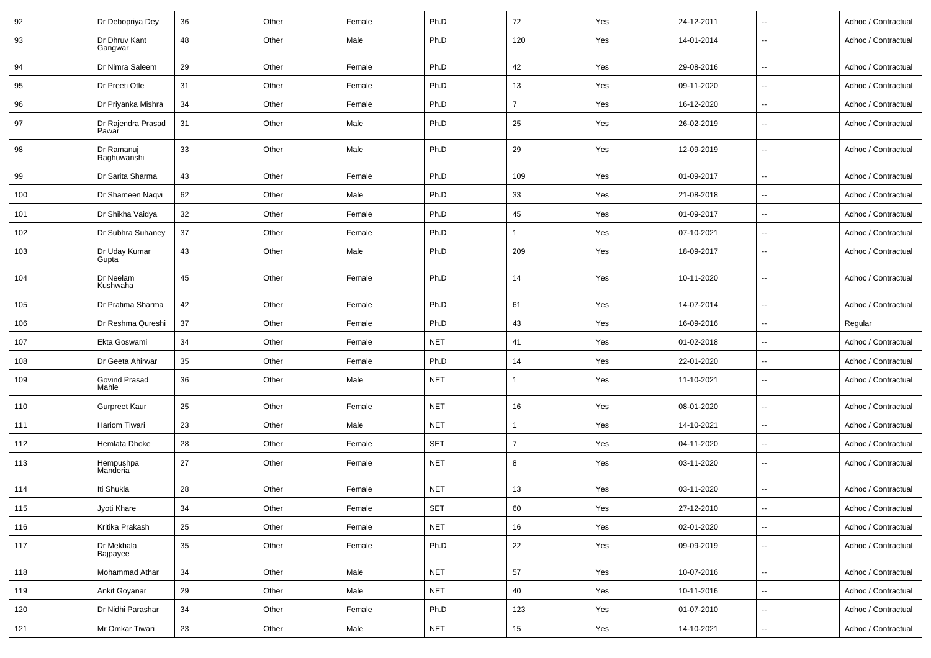| 92  | Dr Debopriya Dey            | 36     | Other | Female | Ph.D       | 72             | Yes | 24-12-2011 | $\sim$                   | Adhoc / Contractual |
|-----|-----------------------------|--------|-------|--------|------------|----------------|-----|------------|--------------------------|---------------------|
| 93  | Dr Dhruv Kant<br>Gangwar    | 48     | Other | Male   | Ph.D       | 120            | Yes | 14-01-2014 | --                       | Adhoc / Contractual |
| 94  | Dr Nimra Saleem             | 29     | Other | Female | Ph.D       | 42             | Yes | 29-08-2016 | --                       | Adhoc / Contractual |
| 95  | Dr Preeti Otle              | 31     | Other | Female | Ph.D       | 13             | Yes | 09-11-2020 | Ξ.                       | Adhoc / Contractual |
| 96  | Dr Priyanka Mishra          | 34     | Other | Female | Ph.D       | $\overline{7}$ | Yes | 16-12-2020 | --                       | Adhoc / Contractual |
| 97  | Dr Rajendra Prasad<br>Pawar | 31     | Other | Male   | Ph.D       | 25             | Yes | 26-02-2019 | $\overline{\phantom{a}}$ | Adhoc / Contractual |
| 98  | Dr Ramanuj<br>Raghuwanshi   | 33     | Other | Male   | Ph.D       | 29             | Yes | 12-09-2019 | $\overline{\phantom{a}}$ | Adhoc / Contractual |
| 99  | Dr Sarita Sharma            | 43     | Other | Female | Ph.D       | 109            | Yes | 01-09-2017 | --                       | Adhoc / Contractual |
| 100 | Dr Shameen Naqvi            | 62     | Other | Male   | Ph.D       | 33             | Yes | 21-08-2018 | Ξ.                       | Adhoc / Contractual |
| 101 | Dr Shikha Vaidya            | 32     | Other | Female | Ph.D       | 45             | Yes | 01-09-2017 | $\overline{\phantom{a}}$ | Adhoc / Contractual |
| 102 | Dr Subhra Suhaney           | 37     | Other | Female | Ph.D       | 1              | Yes | 07-10-2021 | --                       | Adhoc / Contractual |
| 103 | Dr Uday Kumar<br>Gupta      | 43     | Other | Male   | Ph.D       | 209            | Yes | 18-09-2017 | Ξ.                       | Adhoc / Contractual |
| 104 | Dr Neelam<br>Kushwaha       | 45     | Other | Female | Ph.D       | 14             | Yes | 10-11-2020 | --                       | Adhoc / Contractual |
| 105 | Dr Pratima Sharma           | 42     | Other | Female | Ph.D       | 61             | Yes | 14-07-2014 | Ξ.                       | Adhoc / Contractual |
| 106 | Dr Reshma Qureshi           | 37     | Other | Female | Ph.D       | 43             | Yes | 16-09-2016 | --                       | Regular             |
| 107 | Ekta Goswami                | 34     | Other | Female | <b>NET</b> | 41             | Yes | 01-02-2018 | $\sim$                   | Adhoc / Contractual |
| 108 | Dr Geeta Ahirwar            | 35     | Other | Female | Ph.D       | 14             | Yes | 22-01-2020 | $\overline{\phantom{a}}$ | Adhoc / Contractual |
| 109 | Govind Prasad<br>Mahle      | 36     | Other | Male   | <b>NET</b> | 1              | Yes | 11-10-2021 | $\sim$                   | Adhoc / Contractual |
| 110 | Gurpreet Kaur               | 25     | Other | Female | <b>NET</b> | 16             | Yes | 08-01-2020 | $\sim$                   | Adhoc / Contractual |
| 111 | Hariom Tiwari               | 23     | Other | Male   | <b>NET</b> | $\overline{1}$ | Yes | 14-10-2021 | --                       | Adhoc / Contractual |
| 112 | Hemlata Dhoke               | 28     | Other | Female | <b>SET</b> | $\overline{7}$ | Yes | 04-11-2020 | Ξ.                       | Adhoc / Contractual |
| 113 | Hempushpa<br>Manderia       | 27     | Other | Female | <b>NET</b> | 8              | Yes | 03-11-2020 | $\overline{\phantom{a}}$ | Adhoc / Contractual |
| 114 | Iti Shukla                  | 28     | Other | Female | <b>NET</b> | 13             | Yes | 03-11-2020 | Ξ.                       | Adhoc / Contractual |
| 115 | Jyoti Khare                 | 34     | Other | Female | SET        | 60             | Yes | 27-12-2010 |                          | Adhoc / Contractual |
| 116 | Kritika Prakash             | 25     | Other | Female | <b>NET</b> | 16             | Yes | 02-01-2020 | Щ,                       | Adhoc / Contractual |
| 117 | Dr Mekhala<br>Bajpayee      | 35     | Other | Female | Ph.D       | 22             | Yes | 09-09-2019 | $\sim$                   | Adhoc / Contractual |
| 118 | Mohammad Athar              | $34\,$ | Other | Male   | <b>NET</b> | 57             | Yes | 10-07-2016 | Ξ.                       | Adhoc / Contractual |
| 119 | Ankit Goyanar               | 29     | Other | Male   | <b>NET</b> | 40             | Yes | 10-11-2016 | $\sim$                   | Adhoc / Contractual |
| 120 | Dr Nidhi Parashar           | 34     | Other | Female | Ph.D       | 123            | Yes | 01-07-2010 | $\overline{\phantom{a}}$ | Adhoc / Contractual |
| 121 | Mr Omkar Tiwari             | 23     | Other | Male   | <b>NET</b> | 15             | Yes | 14-10-2021 | $\overline{\phantom{a}}$ | Adhoc / Contractual |